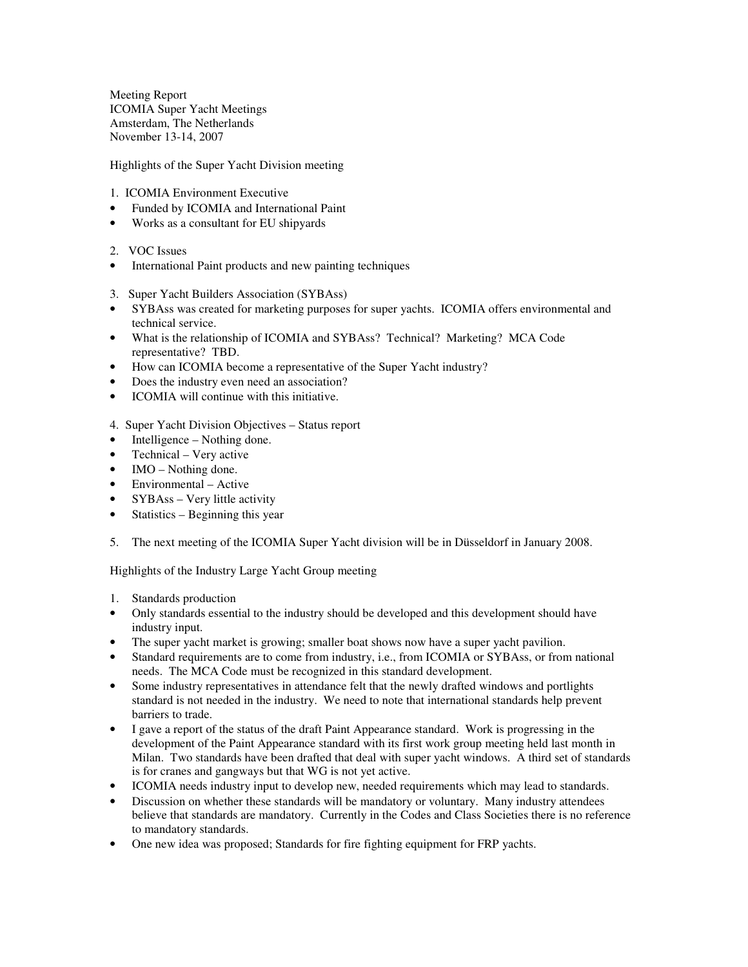Meeting Report ICOMIA Super Yacht Meetings Amsterdam, The Netherlands November 13-14, 2007

Highlights of the Super Yacht Division meeting

- 1. ICOMIA Environment Executive
- Funded by ICOMIA and International Paint
- Works as a consultant for EU shipyards
- 2. VOC Issues
- International Paint products and new painting techniques
- 3. Super Yacht Builders Association (SYBAss)
- SYBAss was created for marketing purposes for super yachts. ICOMIA offers environmental and technical service.
- What is the relationship of ICOMIA and SYBAss? Technical? Marketing? MCA Code representative? TBD.
- How can ICOMIA become a representative of the Super Yacht industry?
- Does the industry even need an association?
- ICOMIA will continue with this initiative.
- 4. Super Yacht Division Objectives Status report
- Intelligence Nothing done.
- Technical Very active
- IMO Nothing done.
- Environmental Active
- SYBAss Very little activity
- Statistics Beginning this year
- 5. The next meeting of the ICOMIA Super Yacht division will be in Düsseldorf in January 2008.

Highlights of the Industry Large Yacht Group meeting

- 1. Standards production
- Only standards essential to the industry should be developed and this development should have industry input.
- The super yacht market is growing; smaller boat shows now have a super yacht pavilion.
- Standard requirements are to come from industry, i.e., from ICOMIA or SYBAss, or from national needs. The MCA Code must be recognized in this standard development.
- Some industry representatives in attendance felt that the newly drafted windows and portlights standard is not needed in the industry. We need to note that international standards help prevent barriers to trade.
- I gave a report of the status of the draft Paint Appearance standard. Work is progressing in the development of the Paint Appearance standard with its first work group meeting held last month in Milan. Two standards have been drafted that deal with super yacht windows. A third set of standards is for cranes and gangways but that WG is not yet active.
- ICOMIA needs industry input to develop new, needed requirements which may lead to standards.
- Discussion on whether these standards will be mandatory or voluntary. Many industry attendees believe that standards are mandatory. Currently in the Codes and Class Societies there is no reference to mandatory standards.
- One new idea was proposed; Standards for fire fighting equipment for FRP yachts.